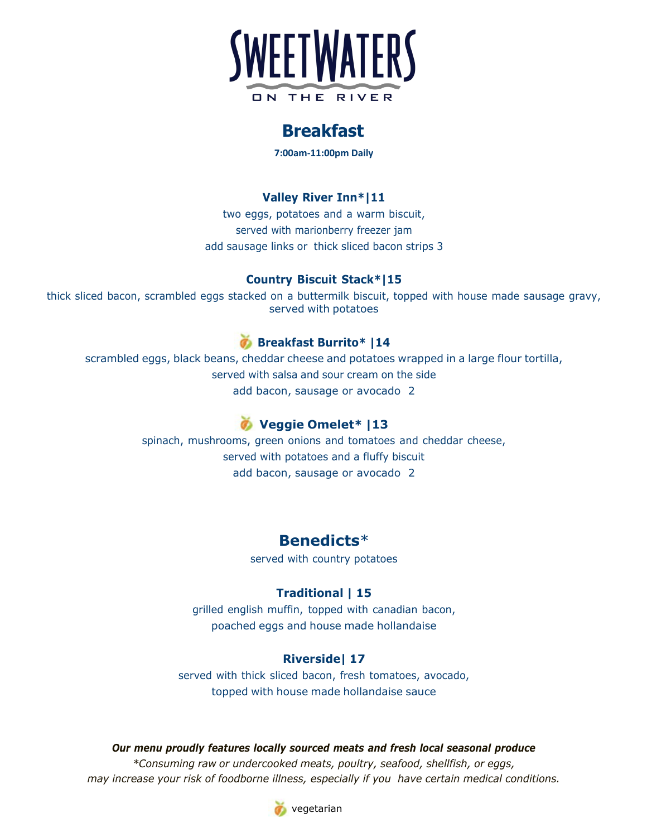

# **Breakfast**

**7:00am-11:00pm Daily**

## **Valley River Inn\*|11**

two eggs, potatoes and a warm biscuit, served with marionberry freezer jam add sausage links or thick sliced bacon strips 3

### **Country Biscuit Stack\*|15**

thick sliced bacon, scrambled eggs stacked on a buttermilk biscuit, topped with house made sausage gravy, served with potatoes

# **Breakfast Burrito\* |14**

scrambled eggs, black beans, cheddar cheese and potatoes wrapped in a large flour tortilla, served with salsa and sour cream on the side add bacon, sausage or avocado 2

# **Veggie Omelet\* |13**

spinach, mushrooms, green onions and tomatoes and cheddar cheese, served with potatoes and a fluffy biscuit add bacon, sausage or avocado 2

# **Benedicts**\*

served with country potatoes

## **Traditional | 15**

grilled english muffin, topped with canadian bacon, poached eggs and house made hollandaise

### **Riverside| 17**

served with thick sliced bacon, fresh tomatoes, avocado, topped with house made hollandaise sauce

#### *Our menu proudly features locally sourced meats and fresh local seasonal produce*

*\*Consuming raw or undercooked meats, poultry, seafood, shellfish, or eggs, may increase your risk of foodborne illness, especially if you have certain medical conditions.*